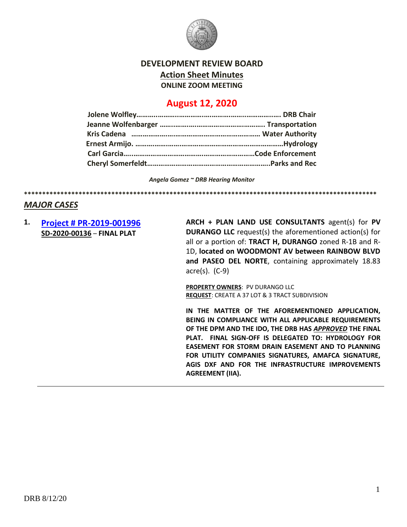

## **DEVELOPMENT REVIEW BOARD**

**Action Sheet Minutes**

**ONLINE ZOOM MEETING**

# **August 12, 2020**

*Angela Gomez ~ DRB Hearing Monitor*

**\*\*\*\*\*\*\*\*\*\*\*\*\*\*\*\*\*\*\*\*\*\*\*\*\*\*\*\*\*\*\*\*\*\*\*\*\*\*\*\*\*\*\*\*\*\*\*\*\*\*\*\*\*\*\*\*\*\*\*\*\*\*\*\*\*\*\*\*\*\*\*\*\*\*\*\*\*\*\*\*\*\*\*\*\*\*\*\*\*\*\*\*\*\*\*\*\***

## *MAJOR CASES*

**1. [Project # PR-2019-001996](http://data.cabq.gov/government/planning/DRB/PR-2019-001996/DRB%20Submittals/PR-2019-001996_August_12_2020/) SD-2020-00136** – **FINAL PLAT**

**ARCH + PLAN LAND USE CONSULTANTS** agent(s) for **PV DURANGO LLC** request(s) the aforementioned action(s) for all or a portion of: **TRACT H, DURANGO** zoned R-1B and R-1D, **located on WOODMONT AV between RAINBOW BLVD and PASEO DEL NORTE**, containing approximately 18.83 acre(s). (C-9)

**PROPERTY OWNERS**: PV DURANGO LLC **REQUEST**: CREATE A 37 LOT & 3 TRACT SUBDIVISION

**IN THE MATTER OF THE AFOREMENTIONED APPLICATION, BEING IN COMPLIANCE WITH ALL APPLICABLE REQUIREMENTS OF THE DPM AND THE IDO, THE DRB HAS** *APPROVED* **THE FINAL PLAT. FINAL SIGN-OFF IS DELEGATED TO: HYDROLOGY FOR EASEMENT FOR STORM DRAIN EASEMENT AND TO PLANNING FOR UTILITY COMPANIES SIGNATURES, AMAFCA SIGNATURE, AGIS DXF AND FOR THE INFRASTRUCTURE IMPROVEMENTS AGREEMENT (IIA).**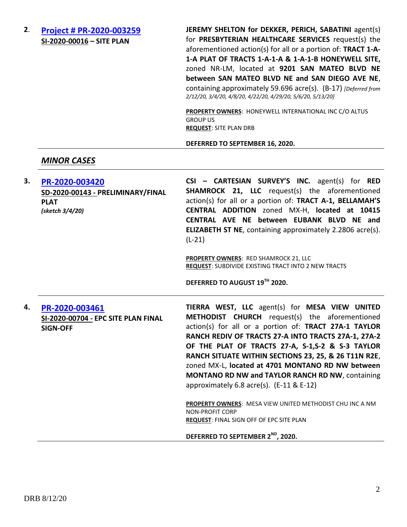**2**. **[Project # PR-2020-003259](http://data.cabq.gov/government/planning/DRB/PR-2020-003259/DRB%20Submittals/PR-2020-003259_Feb_12_2020/Application/) SI-2020-00016 – SITE PLAN**

**JEREMY SHELTON for DEKKER, PERICH, SABATINI** agent(s) for **PRESBYTERIAN HEALTHCARE SERVICES** request(s) the aforementioned action(s) for all or a portion of: **TRACT 1-A-1-A PLAT OF TRACTS 1-A-1-A & 1-A-1-B HONEYWELL SITE,** zoned NR-LM, located at **9201 SAN MATEO BLVD NE between SAN MATEO BLVD NE and SAN DIEGO AVE NE**, containing approximately 59.696 acre(s). (B-17) *[Deferred from 2/12/20, 3/4/20, 4/8/20, 4/22/20, 4/29/20, 5/6/20, 5/13/20]*

**PROPERTY OWNERS**: HONEYWELL INTERNATIONAL INC C/O ALTUS GROUP US **REQUEST**: SITE PLAN DRB

#### **DEFERRED TO SEPTEMBER 16, 2020.**

### *MINOR CASES*

**3. [PR-2020-003420](http://data.cabq.gov/government/planning/DRB/PR-2020-003420/DRB%20Submittals/PR-2020-003420_Aug_12_2020/Application/PR-2020-003420_FINAL%20PLAT%20SUBMITTAL_compressed.pdf) SD-2020-00143 - PRELIMINARY/FINAL PLAT** *(sketch 3/4/20)* **CSI – CARTESIAN SURVEY'S INC.** agent(s) for **RED SHAMROCK 21, LLC** request(s) the aforementioned action(s) for all or a portion of: **TRACT A-1, BELLAMAH'S CENTRAL ADDITION** zoned MX-H, **located at 10415 CENTRAL AVE NE between EUBANK BLVD NE and ELIZABETH ST NE**, containing approximately 2.2806 acre(s). (L-21)

> **PROPERTY OWNERS**: RED SHAMROCK 21, LLC **REQUEST**: SUBDIVIDE EXISTING TRACT INTO 2 NEW TRACTS

**DEFERRED TO AUGUST 19TH 2020.**

**4. [PR-2020-003461](http://data.cabq.gov/government/planning/DRB/PR-2020-003461/DRB%20Submittals/PR-2020-003461_Aug_12_2020/Application/DRB%20SBP%20TIERRA%20WEST%20PR-2020-003461%20SI-2020-00704%20signed%20copy.pdf) SI-2020-00704 - EPC SITE PLAN FINAL SIGN-OFF TIERRA WEST, LLC** agent(s) for **MESA VIEW UNITED METHODIST CHURCH** request(s) the aforementioned action(s) for all or a portion of: **TRACT 27A-1 TAYLOR RANCH REDIV OF TRACTS 27-A INTO TRACTS 27A-1, 27A-2 OF THE PLAT OF TRACTS 27-A, S-1,S-2 & S-3 TAYLOR RANCH SITUATE WITHIN SECTIONS 23, 25, & 26 T11N R2E**, zoned MX-L, **located at 4701 MONTANO RD NW between MONTANO RD NW and TAYLOR RANCH RD NW**, containing approximately 6.8 acre(s). (E-11 & E-12) **PROPERTY OWNERS**: MESA VIEW UNITED METHODIST CHU INC A NM NON-PROFIT CORP **REQUEST**: FINAL SIGN OFF OF EPC SITE PLAN

#### **DEFERRED TO SEPTEMBER 2ND, 2020.**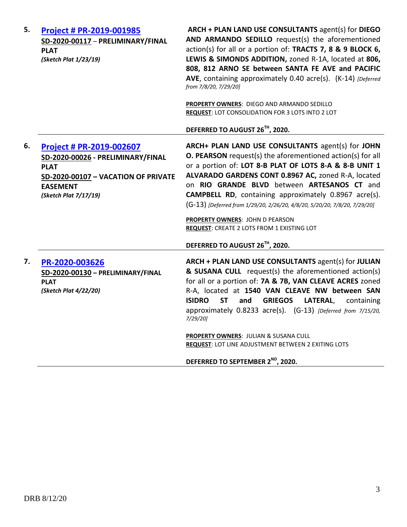| 5. | <b>Project # PR-2019-001985</b><br>SD-2020-00117 - PRELIMINARY/FINAL<br><b>PLAT</b><br>(Sketch Plat 1/23/19)                                                    | ARCH + PLAN LAND USE CONSULTANTS agent(s) for DIEGO<br>AND ARMANDO SEDILLO request(s) the aforementioned<br>action(s) for all or a portion of: TRACTS 7, 8 & 9 BLOCK 6,<br>LEWIS & SIMONDS ADDITION, zoned R-1A, located at 806,<br>808, 812 ARNO SE between SANTA FE AVE and PACIFIC<br>AVE, containing approximately 0.40 acre(s). (K-14) [Deferred<br>from 7/8/20, 7/29/20]<br>PROPERTY OWNERS: DIEGO AND ARMANDO SEDILLO<br><b>REQUEST: LOT CONSOLIDATION FOR 3 LOTS INTO 2 LOT</b>                                      |
|----|-----------------------------------------------------------------------------------------------------------------------------------------------------------------|------------------------------------------------------------------------------------------------------------------------------------------------------------------------------------------------------------------------------------------------------------------------------------------------------------------------------------------------------------------------------------------------------------------------------------------------------------------------------------------------------------------------------|
|    |                                                                                                                                                                 | DEFERRED TO AUGUST 26TH, 2020.                                                                                                                                                                                                                                                                                                                                                                                                                                                                                               |
| 6. | Project # PR-2019-002607<br>SD-2020-00026 - PRELIMINARY/FINAL<br><b>PLAT</b><br>SD-2020-00107 - VACATION OF PRIVATE<br><b>EASEMENT</b><br>(Sketch Plat 7/17/19) | ARCH+ PLAN LAND USE CONSULTANTS agent(s) for JOHN<br>O. PEARSON request(s) the aforementioned action(s) for all<br>or a portion of: LOT 8-B PLAT OF LOTS 8-A & 8-B UNIT 1<br>ALVARADO GARDENS CONT 0.8967 AC, zoned R-A, located<br>on RIO GRANDE BLVD between ARTESANOS CT and<br><b>CAMPBELL RD</b> , containing approximately 0.8967 acre(s).<br>(G-13) [Deferred from 1/29/20, 2/26/20, 4/8/20, 5/20/20, 7/8/20, 7/29/20]<br><b>PROPERTY OWNERS: JOHN D PEARSON</b><br><b>REQUEST: CREATE 2 LOTS FROM 1 EXISTING LOT</b> |
|    |                                                                                                                                                                 | DEFERRED TO AUGUST 26TH, 2020.                                                                                                                                                                                                                                                                                                                                                                                                                                                                                               |
| 7. | PR-2020-003626<br>SD-2020-00130 - PRELIMINARY/FINAL<br><b>PLAT</b><br>(Sketch Plat 4/22/20)                                                                     | ARCH + PLAN LAND USE CONSULTANTS agent(s) for JULIAN<br>& SUSANA CULL request(s) the aforementioned action(s)<br>for all or a portion of: 7A & 7B, VAN CLEAVE ACRES zoned<br>R-A, located at 1540 VAN CLEAVE NW between SAN<br><b>ISIDRO</b><br><b>ST</b><br><b>GRIEGOS</b><br>LATERAL,<br>and<br>containing<br>approximately 0.8233 acre(s). (G-13) [Deferred from 7/15/20,<br>7/29/20]                                                                                                                                     |
|    |                                                                                                                                                                 | PROPERTY OWNERS: JULIAN & SUSANA CULL<br>REQUEST: LOT LINE ADJUSTMENT BETWEEN 2 EXITING LOTS                                                                                                                                                                                                                                                                                                                                                                                                                                 |
|    |                                                                                                                                                                 | DEFERRED TO SEPTEMBER 2 <sup>ND</sup> , 2020.                                                                                                                                                                                                                                                                                                                                                                                                                                                                                |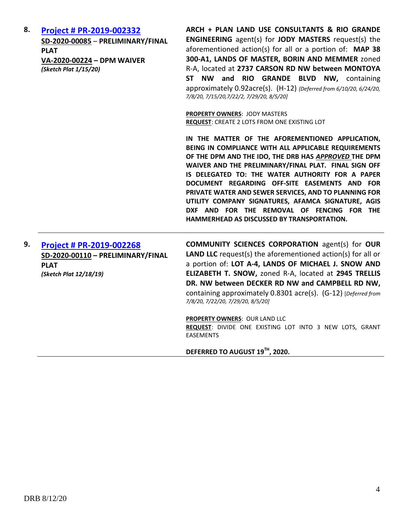| 8. | Project # PR-2019-002332<br>SD-2020-00085 - PRELIMINARY/FINAL<br><b>PLAT</b><br>VA-2020-00224 - DPM WAIVER<br>(Sketch Plat 1/15/20) | ARCH + PLAN LAND USE CONSULTANTS & RIO GRANDE<br><b>ENGINEERING</b> agent(s) for <b>JODY MASTERS</b> request(s) the<br>aforementioned action(s) for all or a portion of: MAP 38<br>300-A1, LANDS OF MASTER, BORIN AND MEMMER zoned<br>R-A, located at 2737 CARSON RD NW between MONTOYA<br>ST NW and RIO GRANDE BLVD NW, containing<br>approximately 0.92acre(s). (H-12) {Deferred from 6/10/20, 6/24/20,<br>7/8/20, 7/15/20, 7/22/2, 7/29/20, 8/5/20]<br><b>PROPERTY OWNERS: JODY MASTERS</b><br>REQUEST: CREATE 2 LOTS FROM ONE EXISTING LOT |
|----|-------------------------------------------------------------------------------------------------------------------------------------|------------------------------------------------------------------------------------------------------------------------------------------------------------------------------------------------------------------------------------------------------------------------------------------------------------------------------------------------------------------------------------------------------------------------------------------------------------------------------------------------------------------------------------------------|
|    |                                                                                                                                     | IN THE MATTER OF THE AFOREMENTIONED APPLICATION,<br>BEING IN COMPLIANCE WITH ALL APPLICABLE REQUIREMENTS<br>OF THE DPM AND THE IDO, THE DRB HAS APPROVED THE DPM<br>WAIVER AND THE PRELIMINARY/FINAL PLAT. FINAL SIGN OFF<br>IS DELEGATED TO: THE WATER AUTHORITY FOR A PAPER<br>DOCUMENT REGARDING OFF-SITE EASEMENTS AND FOR<br>PRIVATE WATER AND SEWER SERVICES, AND TO PLANNING FOR<br>UTILITY COMPANY SIGNATURES, AFAMCA SIGNATURE, AGIS<br>DXF AND FOR THE REMOVAL OF FENCING FOR THE<br>HAMMERHEAD AS DISCUSSED BY TRANSPORTATION.      |
| 9. | Project # PR-2019-002268<br>SD-2020-00110 - PRELIMINARY/FINAL<br><b>PLAT</b><br>(Sketch Plat 12/18/19)                              | <b>COMMUNITY SCIENCES CORPORATION agent(s) for OUR</b><br><b>LAND LLC</b> request(s) the aforementioned action(s) for all or<br>a portion of: LOT A-4, LANDS OF MICHAEL J. SNOW AND<br>ELIZABETH T. SNOW, zoned R-A, located at 2945 TRELLIS<br>DR. NW between DECKER RD NW and CAMPBELL RD NW,<br>containing approximately 0.8301 acre(s). (G-12) [Deferred from<br>7/8/20, 7/22/20, 7/29/20, 8/5/20]                                                                                                                                         |
|    |                                                                                                                                     | <b>PROPERTY OWNERS: OUR LAND LLC</b><br>REQUEST: DIVIDE ONE EXISTING LOT INTO 3 NEW LOTS, GRANT<br><b>EASEMENTS</b>                                                                                                                                                                                                                                                                                                                                                                                                                            |

**DEFERRED TO AUGUST 19TH, 2020.**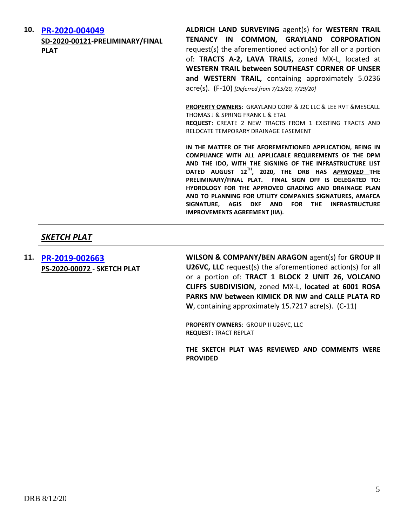**10. [PR-2020-004049](http://data.cabq.gov/government/planning/DRB/PR-2020-004049/DRB%20Submittals/PR-2020-004049_Aug_12_2020_Supp/Application/) SD-2020-00121-PRELIMINARY/FINAL PLAT ALDRICH LAND SURVEYING** agent(s) for **WESTERN TRAIL TENANCY IN COMMON, GRAYLAND CORPORATION** request(s) the aforementioned action(s) for all or a portion of: **TRACTS A-2, LAVA TRAILS,** zoned MX-L, located at **WESTERN TRAIL between SOUTHEAST CORNER OF UNSER and WESTERN TRAIL,** containing approximately 5.0236 acre(s). (F-10) *[Deferred from 7/15/20, 7/29/20]* **PROPERTY OWNERS**: GRAYLAND CORP & J2C LLC & LEE RVT &MESCALL THOMAS J & SPRING FRANK L & ETAL **REQUEST**: CREATE 2 NEW TRACTS FROM 1 EXISTING TRACTS AND RELOCATE TEMPORARY DRAINAGE EASEMENT **IN THE MATTER OF THE AFOREMENTIONED APPLICATION, BEING IN COMPLIANCE WITH ALL APPLICABLE REQUIREMENTS OF THE DPM AND THE IDO, WITH THE SIGNING OF THE INFRASTRUCTURE LIST DATED AUGUST 12TH, 2020, THE DRB HAS** *APPROVED* **THE PRELIMINARY/FINAL PLAT. FINAL SIGN OFF IS DELEGATED TO: HYDROLOGY FOR THE APPROVED GRADING AND DRAINAGE PLAN AND TO PLANNING FOR UTILITY COMPANIES SIGNATURES, AMAFCA SIGNATURE, AGIS DXF AND FOR THE INFRASTRUCTURE IMPROVEMENTS AGREEMENT (IIA).**

### *SKETCH PLAT*

**11. [PR-2019-002663](http://data.cabq.gov/government/planning/DRB/PR-2019-002663/DRB%20Submittals/PR-2019-002663_Aug_12_2020/Application/Tr%201%20B2%20U26%20VCS%20Sketch%20Plat%20Applic.pdf) PS-2020-00072 - SKETCH PLAT WILSON & COMPANY/BEN ARAGON** agent(s) for **GROUP II U26VC, LLC** request(s) the aforementioned action(s) for all or a portion of: **TRACT 1 BLOCK 2 UNIT 26, VOLCANO CLIFFS SUBDIVISION,** zoned MX-L, **located at 6001 ROSA PARKS NW between KIMICK DR NW and CALLE PLATA RD W**, containing approximately 15.7217 acre(s). (C-11) **PROPERTY OWNERS**: GROUP II U26VC, LLC **REQUEST**: TRACT REPLAT **THE SKETCH PLAT WAS REVIEWED AND COMMENTS WERE PROVIDED**